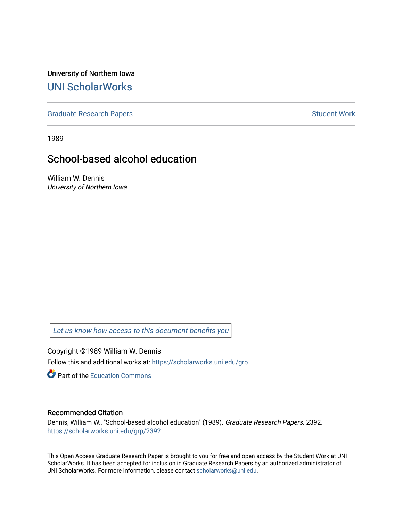University of Northern Iowa [UNI ScholarWorks](https://scholarworks.uni.edu/) 

[Graduate Research Papers](https://scholarworks.uni.edu/grp) **Student Work** Student Work

1989

# School-based alcohol education

William W. Dennis University of Northern Iowa

[Let us know how access to this document benefits you](https://scholarworks.uni.edu/feedback_form.html) 

Copyright ©1989 William W. Dennis Follow this and additional works at: [https://scholarworks.uni.edu/grp](https://scholarworks.uni.edu/grp?utm_source=scholarworks.uni.edu%2Fgrp%2F2392&utm_medium=PDF&utm_campaign=PDFCoverPages) 

**C** Part of the [Education Commons](http://network.bepress.com/hgg/discipline/784?utm_source=scholarworks.uni.edu%2Fgrp%2F2392&utm_medium=PDF&utm_campaign=PDFCoverPages)

## Recommended Citation

Dennis, William W., "School-based alcohol education" (1989). Graduate Research Papers. 2392. [https://scholarworks.uni.edu/grp/2392](https://scholarworks.uni.edu/grp/2392?utm_source=scholarworks.uni.edu%2Fgrp%2F2392&utm_medium=PDF&utm_campaign=PDFCoverPages) 

This Open Access Graduate Research Paper is brought to you for free and open access by the Student Work at UNI ScholarWorks. It has been accepted for inclusion in Graduate Research Papers by an authorized administrator of UNI ScholarWorks. For more information, please contact [scholarworks@uni.edu.](mailto:scholarworks@uni.edu)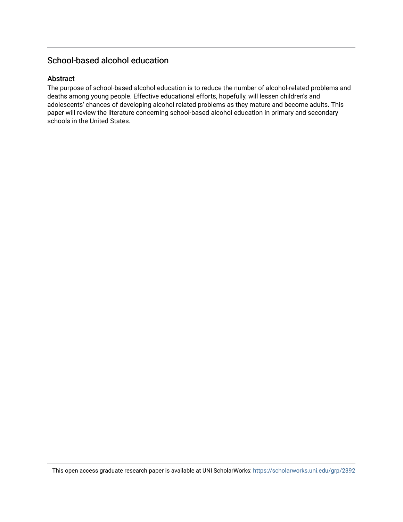## School-based alcohol education

## Abstract

The purpose of school-based alcohol education is to reduce the number of alcohol-related problems and deaths among young people. Effective educational efforts, hopefully, will lessen children's and adolescents' chances of developing alcohol related problems as they mature and become adults. This paper will review the literature concerning school-based alcohol education in primary and secondary schools in the United States.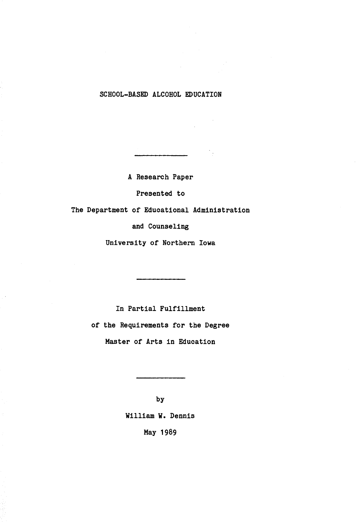## SCHOOL-BASED ALCOHOL EDUCATION

A Research Paper

Presented to

The Department of Educational Administration

and Counseling

University of Northern Iowa

In Partial Fulfillment of the Requirements for the Degree Master of Arts in Education

> by William w. Dennis May 1989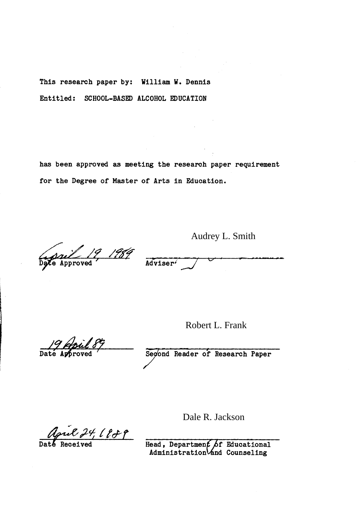This research paper by: William W. Dennis Entitled: SCHOOL-BASED ALCOHOL EDUCATION

has been approved as meeting the research paper requirement for the Degree of Master of Arts in Education.

*if 19, 1989* 

Adviser<sup>7</sup>

Audrey L. Smith

Robert L. Frank

19 April

Segond Reader of Research Paper

April 24, 1889

Daté Received

Head, Departmen Administration

Dale R. Jackson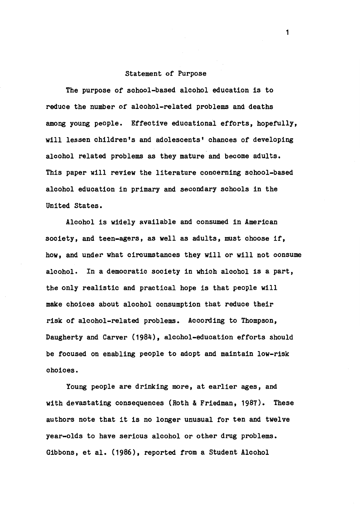#### Statement of Purpose

The purpose of school-based alcohol education is to reduce the number of alcohol-related problems and deaths among young people. Effective educational efforts, hopefully, will lessen children's and adolescents' chances of developing alcohol related problems as they mature and become adults. This paper will review the literature concerning school-based alcohol education in primary and secondary schools in the United States.

Alcohol is widely available and consumed in American society, and teen-agers, as well as adults, must choose if, how, and under what circumstances they will or will not consume alcohol. In a democratic society in which alcohol is a part, the only realistic and practical hope is that people will make choices about alcohol consumption that reduce their risk of alcohol-related problems. According to Thompson, Daugherty and Carver (1984), alcohol-education efforts should be focused on enabling people to adopt and maintain low-risk choices.

Young people are drinking more, at earlier ages, and with devastating consequences (Roth & Friedman, 1987). These authors note that it is no longer unusual for ten and twelve year-olds to have serious alcohol or other drug problems. Gibbons, et al. (1986), reported from a Student Alcohol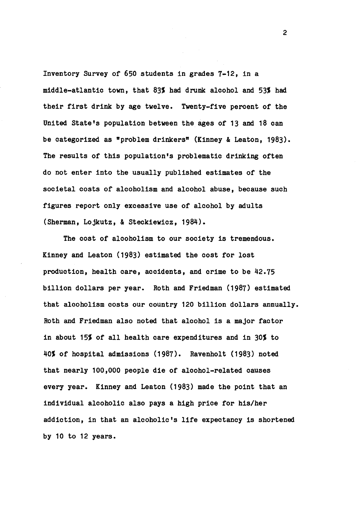Inventory Survey of 650 students in grades 7-12, in a middle-atlantic town, that 83% had drunk alcohol and 53% had their first drink by age twelve. Twenty-five percent of the United State's population between the ages of 13 and 18 can be categorized as "problem drinkers" (Kinney & Leaton, 1983). The results of this population's problematic drinking often do not enter into the usually published estimates of the societal costs of alcoholism and alcohol abuse, because such figures report only excessive use of alcohol by adults (Sherman, Lojkutz, & Steckiewicz, 1984).

The cost of alcoholism to our society is tremendous. Kinney and Leaton (1983) estimated the cost for lost production, health care, accidents, and crime to be 42.75 billion dollars per year. Roth and Friedman (1987) estimated that alcoholism costs our country 120 billion dollars annually. Roth and Friedman also noted that alcohol is a major factor in about 15% of all health care expenditures and in 30% to 40% of hospital admissions (1987). Ravenholt (1983) noted that nearly 100,000 people die of alcohol-related causes every year. Kinney and Leaton (1983) made the point that an individual alcoholic also pays a high price for his/her addiction, in that an alcoholic's life expectancy is shortened by 10 to 12 years.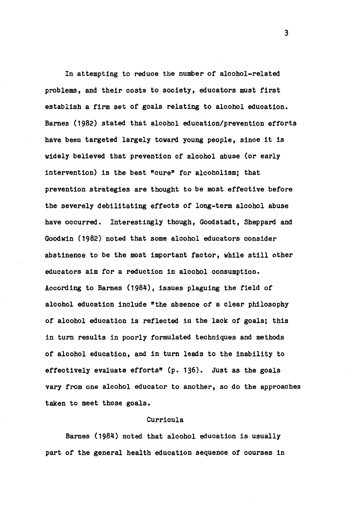In attempting to reduce the number of alcohol-related problems, and their costs to society, educators must first establish a firm set of goals relating to alcohol education. Barnes (1982) stated that alcohol education/prevention efforts have been targeted largely toward young people, since it is widely believed that prevention of alcohol abuse (or early intervention) is the best "cure" for alcoholism; that prevention strategies are thought to be most effective before the severely debilitating effects of long-term alcohol abuse have occurred. Interestingly though, Goodstadt, Sheppard and Goodwin (1982) noted that some alcohol educators consider abstinence to be the most important factor, while still other educators aim for a reduction in alcohol consumption. According to Barnes (1984), issues plaguing the field of alcohol education include "the absence of a clear philosophy of alcohol education is reflected in the lack of goals; this in turn results in poorly formulated techniques and methods of alcohol education, and in turn leads to the inability to effectively evaluate efforts" (p. 136). Just as the goals vary from one alcohol educator to another, so do the approaches taken to meet those goals.

#### Curricula

Barnes (1984) noted that alcohol education is usually part of the general health education sequence of courses in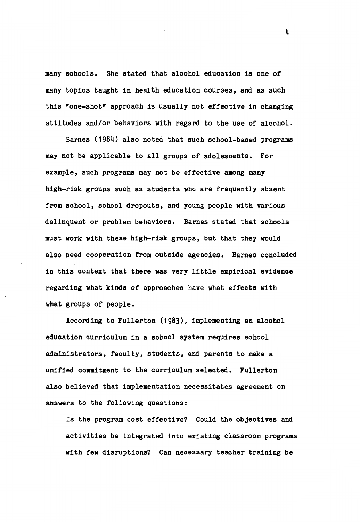many schools. She stated that alcohol education is one of many topics taught in health education courses, and as such this "one-shot" approach is usually not effective in changing attitudes and/or behaviors **with regard** to the use of alcohol.

Barnes (1984) also noted that such school-based programs may not be applicable to all groups of adolescents. For example, such programs may not be effective among many high-risk groups such as students who are frequently absent from school, school dropouts, and young people with various delinquent or problem behaviors. Barnes stated that schools must work with these high-risk groups, but that they would also need cooperation from outside agencies. Barnes concluded in this context that there was very little empirical evidence regarding what kinds of approaches have what effects with what groups of people.

According to Fullerton (1983), implementing an alcohol education curriculum in a school system requires school administrators, faculty, students, and parents to make a unified commitment to the curriculum selected. Fullerton also believed that implementation necessitates agreement on answers to the following questions:

Is the program cost effective? Could the objectives and activities be integrated into existing classroom programs with few disruptions? Can necessary teacher training be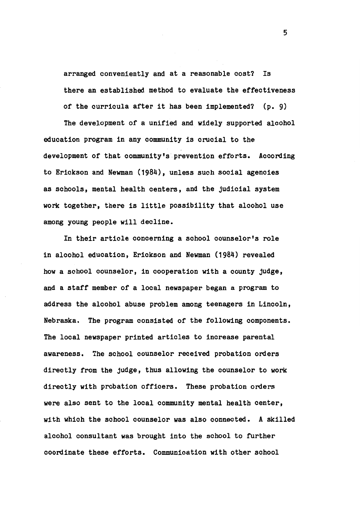arranged conveniently and at a reasonable cost? Is there an established method to evaluate the effectiveness of the curricula after it has been implemented? (p. 9)

The development of a unified and widely supported alcohol education program in any community is crucial to the development of that community's prevention efforts. According to Erickson and Newman (1984), unless such social agencies as schools, mental health centers, and the judicial system **work** together, there is little possibility that alcohol use among young people will decline.

In their article concerning a school counselor's role in alcohol education, Erickson and Newman (1984) revealed how a school counselor, in cooperation with a county judge, and a staff member of a local newspaper began a program to address the alcohol abuse problem among teenagers in Lincoln, Nebraska. The program consisted of the following components. The local newspaper printed articles to increase parental awareness. The school counselor received probation orders directly from the judge, thus allowing the counselor to work directly with probation officers. These probation orders were also sent to the local community mental health center, **with** which the school counselor was also connected. A skilled alcohol consultant was brought into the school to further coordinate these efforts. Communication with other school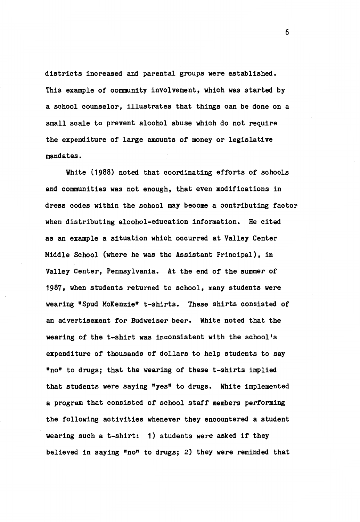districts increased and parental groups were established. This example of community involvement, which was started by a school counselor, illustrates that things can be done on a small scale to prevent alcohol abuse which do not require the expenditure of large amounts of money or legislative mandates.

White (1988) noted that coordinating efforts of schools and communities was not enough, that even modifications in dress codes within the school may become a contributing factor when distributing alcohol-education information. He cited as an example a situation which occurred at Valley Center Middle School (where he was the Assistant Principal), in Valley Center, Pennsylvania. At the end of the summer of 1987, when students returned to school, many students were wearing "Spud McKenzie" t-shirts. These shirts consisted of an advertisement for Budweiser beer. White noted that the wearing of the t-shirt was inconsistent with the school's expenditure of thousands of dollars to help students to say •no• to drugs; that the wearing of these t-shirts implied that students were saying "yes" to drugs. White implemented a program that consisted of school staff members performing the following activities whenever they encountered a student wearing such a t-shirt: 1) students were asked if they believed in saying "no" to drugs; 2) they were reminded that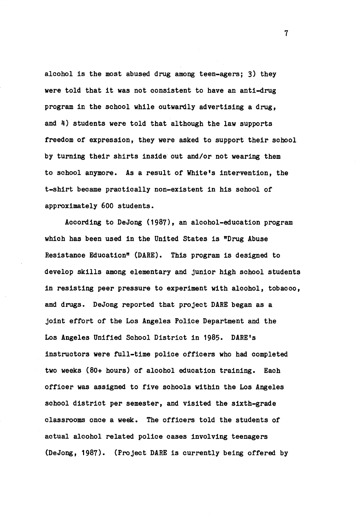alcohol is the most abused drug among teen-agers; 3) they were told that it was not consistent to have an anti-drug program in the school while outwardly advertising a drug, and  $4$ ) students were told that although the law supports freedom of expression, they were asked to support their school by turning their shirts inside out and/or not wearing them to school anymore. As a result of White's intervention, the t-shirt became practically non-existent in his school of approximately 600 students.

According to DeJong (1987), an alcohol-education program which has been used in the United States is "Drug Abuse Resistance Education" (DARE). This program is designed to develop skills among elementary and junior high school students in resisting peer pressure to experiment with alcohol, tobacco, and drugs. DeJong reported that project DARE began as a joint effort of the Los Angeles Police Department and the Los Angeles Unified School District in 1985. DARE's instructors were full-time police officers who had completed two weeks (80+ hours) of alcohol education training. Each officer was assigned to five schools within the Los Angeles school district per semester, and visited the sixth-grade classrooms once a **week.** The officers told the students of actual alcohol related police cases involving teenagers (DeJong, 1987). (Project DARE is currently being offered by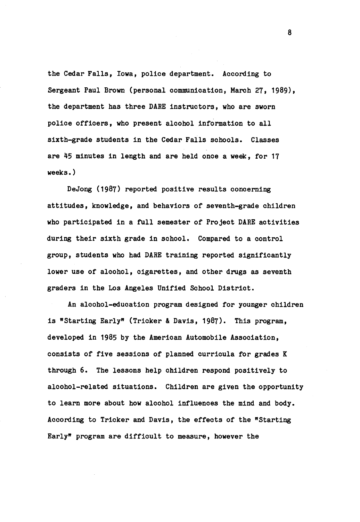the Cedar Falls, Iowa, police department. According to Sergeant Paul Brown (personal communication, March 27, 1989), the department has three DARE instructors, who are sworn police officers, who present alcohol information to all sixth-grade students in the Cedar Falls schools. Classes are 45 minutes in length and are held once a week, for 17 weeks.)

DeJong (1987) reported positive results concerning attitudes, knowledge, and behaviors of seventh-grade children who participated in a full semester of Project DARE activities during their sixth grade in school. Compared to a control group, students who had DARE training reported significantly lower use of alcohol, cigarettes, and other drugs as seventh graders in the Los Angeles Unified School District.

An alcohol-education program designed for younger children is "Starting Early" (Tricker & Davis, 1987). This program, developed in 1985 by the American Automobile Association, consists of five sessions of planned curricula for grades K through 6. The lessons help children respond positively to alcohol-related situations. Children are given the opportunity to learn more about how alcohol influences the mind and body. According to Tricker and Davis, the effects of the "Starting Early" program are difficult to measure, however the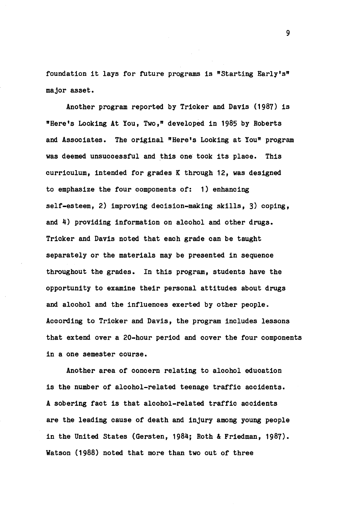foundation it lays for future programs is "Starting Early's" major asset.

Another program reported by Tricker and Davis (1987) is "Here's Looking At You, Two," developed in 1985 by Roberts and Associates. The original "Here's Looking at You" program was deemed unsuccessful and this one took its place. This curriculum, intended for grades K through 12, was designed to emphasize the four components of: 1) enhancing self-esteem, 2) improving decision-making skills, 3) coping, and 4) providing information on alcohol and other drugs. Tricker and Davis noted that each grade can be taught separately or the materials may be presented in sequence throughout the grades. In this program, students have the opportunity to examine their personal attitudes about drugs and alcohol and the influences exerted by other people. According to Tricker and Davis, the program includes lessons that extend over a 20-hour period and cover the four components in a one semester course.

Another area of concern relating to alcohol education is the number of alcohol-related teenage traffic accidents. A sobering fact is that alcohol-related traffic accidents are the leading cause of death and injury among young people in the United States (Gersten, 1984; Roth & Friedman, 1987). Watson (1988) noted that more than two out of three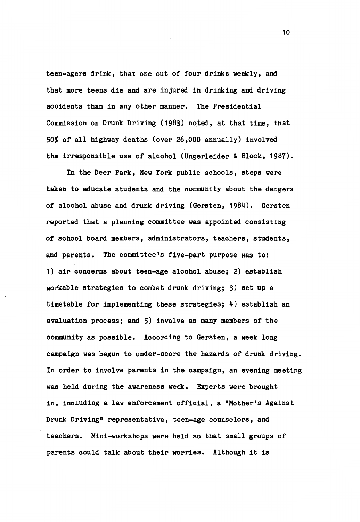teen-agers drink, that one out of four drinks weekly, and that more teens die and are injured in drinking and driving accidents than in any other manner. The Presidential Commission on Drunk Driving (1983) noted, at that time, that 50% of all highway deaths (over 26,000 annually) involved the irresponsible use of alcohol (Ungerleider & Block, 1987).

In the Deer Park, New York public schools, steps were taken to educate students and the community about the dangers of alcohol abuse and drunk driving (Gersten, 1984). Gersten reported that a planning committee was appointed consisting of school board members, administrators, teachers, students, and parents. The committee's five-part purpose was to: 1) air concerns about teen-age alcohol abuse; 2) establish workable strategies to combat drunk driving; 3) set up a timetable for implementing these strategies; 4) establish an evaluation process; and 5) involve as many members of the community as possible. According to Gersten, a week long campaign was begun to under-score the hazards of drunk driving. In order to involve parents in the campaign, an evening meeting was held during the awareness week. Experts were brought in, including a law enforcement official, a "Mother's Against Drunk Driving" representative, teen-age counselors, and teachers. Mini-workshops were held so that small groups of parents could talk about their worries. Although it is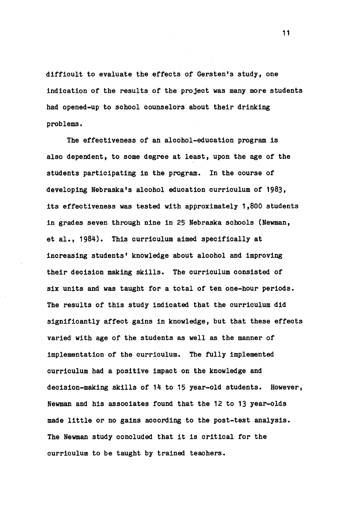difficult to evaluate the effects of Gersten's study, one indication of the results of the project was many more students had opened-up to school counselors about their drinking problems.

The effectiveness of an alcohol-education program is also dependent, to some degree at least, upon the age of the students participating in the program. In the course of developing Nebraska's alcohol education curriculum of 1983, its effectiveness was tested with approximately 1,800 students in grades seven through nine in 25 Nebraska schools (Newman, et al., 1984). This curriculum aimed specifically at increasing students' knowledge about alcohol and improving their decision making skills. The curriculum consisted of six units and was taught for a total of ten one-hour periods. The results of this study indicated that the curriculum did significantly affect gains in knowledge, but that these effects varied with age of the students as well as the manner of implementation of the curriculum. The fully implemented curriculum had a positive impact on the knowledge and decision-making skills of 14 to 15 year-old students. However, Newman and his associates found that the 12 to 13 year-olds made little or no gains according to the post-test analysis. The Newman study concluded that it is critical for the curriculum to be taught by trained teachers.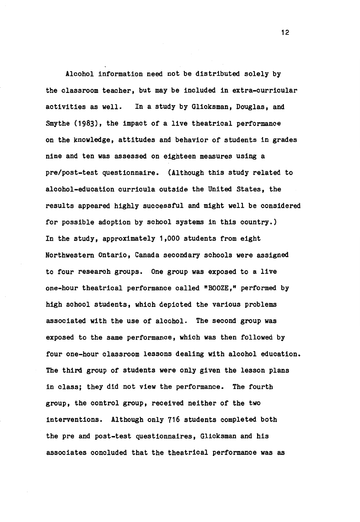Alcohol information need not be distributed solely by the classroom teacher, but may be included in extra-curricular activities as well. In a study by Glicksman, Douglas, and Smythe (1983), the impact of a live theatrical performance on the knowledge, attitudes and behavior of students in grades nine and ten was assessed on eighteen measures using a pre/post-test questionnaire. (Although this study related to alcohol-education curricula outside the United States, the results appeared highly successful and might well be considered for possible adoption by school systems in this country.) In the study, approximately 1,000 students from eight Northwestern Ontario, Canada secondary schools were assigned to four research groups. One group was exposed to a live one-hour theatrical performance called "BOOZE," performed by high school students, which depicted the various problems associated with the use of alcohol. The second group was exposed to the same performance, which was then followed by four one-hour classroom lessons dealing with alcohol education. The third group of students were only given the lesson plans in class; they did not **view** the performance. The fourth group, the control group, received neither of the two interventions. Although only 716 students completed both the pre and post-test questionnaires, Glicksman and his associates concluded that the theatrical performance was as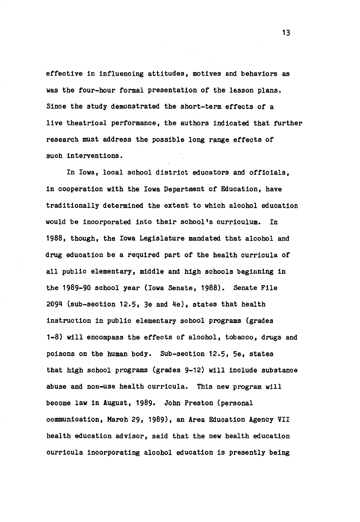effective in influencing attitudes, motives and behaviors as was the four-hour formal presentation of the lesson plans. Since the study demonstrated the short-term effects of a live theatrical performance, the authors indicated that further research must address the possible long range effects of such interventions.

In Iowa, local school district educators and officials, in cooperation with the Iowa Department of Education, have traditionally determined the extent to which alcohol education would be incorporated into their school's curriculum. In 1988, though, the Iowa Legislature mandated that alcohol and drug education be a required part of the health curricula of all public elementary, middle and high schools beginning in the 1989-90 school year (Iowa Senate, 1988). Senate File 2094 (sub-section 12.5, 3e and 4e), states that health instruction in public elementary school programs (grades 1-8) will encompass the effects of alcohol, tobacco, drugs and poisons on the human body. Sub-section 12.5, 5e, states that high school programs (grades 9-12) will include substance abuse and non-use health curricula. This new program will become law in August, 1989. John Preston (personal communication, March 29, 1989), an Area Education Agency VII health education advisor, said that the new health education curricula incorporating alcohol education is presently being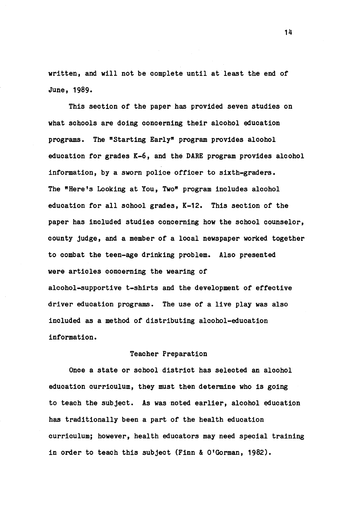written, and will not be complete until at least the end of June, 1989.

This section of the paper has provided seven studies on what schools are doing concerning their alcohol education programs. The "Starting Early" program provides alcohol education for grades K-6, and the DARE program provides alcohol information, by a sworn police officer to sixth-graders. The "Here's Looking at You, Two" program includes alcohol education for all school grades, K-12. This section of the paper has included studies concerning how the school counselor, county judge, and a member of a local newspaper worked together to combat the teen-age drinking problem. Also presented were articles concerning the wearing of alcohol-supportive t-shirts and the development of effective driver education programs. The use of a live play was also included as a method of distributing alcohol-education information.

#### Teacher Preparation

Once a state or school district has selected an alcohol education curriculum, they must then determine who is going to teach the subject. As was noted earlier, alcohol education has traditionally been a part of the health education curriculum; however, health educators may need special training in order to teach this subject (Finn & O'Gorman, 1982).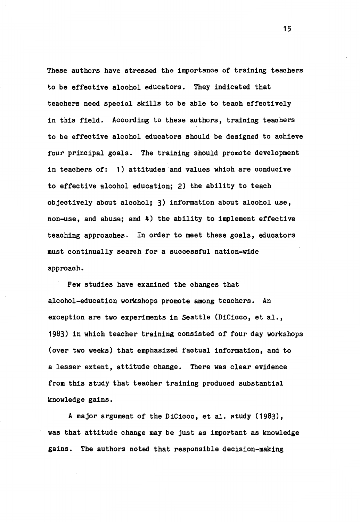These authors have stressed the importance of training teachers to be effective alcohol educators. They indicated that teachers need special skills to be able to teach effectively in this field. According to these authors, training teachers to be effective alcohol educators should be designed to achieve four principal goals. The training should promote development in teachers of: 1) attitudes and values which are conducive to effective alcohol education; 2) the ability to teach objectively about alcohol; 3) information about alcohol use, non-use, and abuse; and 4) the ability to implement effective teaching approaches. In order to meet these goals, educators must continually search for a successful nation-wide approach.

Few studies have examined the changes that alcohol-education workshops promote among teachers. An exception are two experiments in Seattle (DiCicco, et al., 1983) in which teacher training consisted of four day workshops (over two weeks) that emphasized factual information, and to a lesser extent, attitude change. There was clear evidence from this study that teacher training produced substantial knowledge gains.

A major argument of the DiCicco, et al. study (1983), was that attitude change may be just as important as knowledge gains. The authors noted that responsible decision-making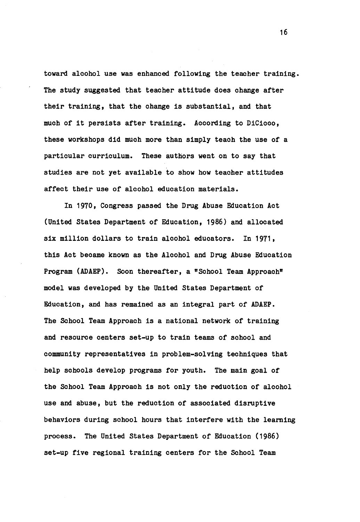toward alcohol use was enhanced following the teacher training. The study suggested that teacher attitude does change after their training, that the change is substantial, and that much of it persists after training. According to DiCicco, these workshops did much more than simply teach the use of a particular curriculum. These authors went on to say that studies are not yet available to show how teacher attitudes affect their use of alcohol education materials.

In 1970, Congress passed the Drug Abuse Education Act (United States Department of Education, 1986) and allocated six million dollars to train alcohol educators. In 1971, this Act became known as the Alcohol and Drug Abuse Education Program (ADAEP). Soon thereafter, a "School Team Approach" model was developed by the United States Department of Education, and has remained as an integral part of ADAEP. The School Team Approach is a national network of training and resource centers set-up to train teams of school and community representatives in problem-solving techniques that help schools develop programs for youth. The main goal of the School Team Approach is not only the reduction of alcohol use and abuse, but the reduction of associated disruptive behaviors during school hours that interfere with the learning process. The United States Department of Education (1986) set-up five regional training centers for the School Team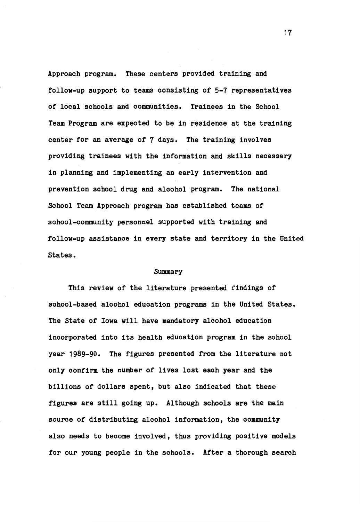Approach program. These centers provided training and follow-up support to teams consisting or 5-7 representatives of local schools and communities. Trainees in the School Team Program are expected to be in residence at the training center for an average of 7 days. The training involves providing trainees with the information and skills necessary in planning and implementing an early intervention and prevention school drug and alcohol program. The national School Team Approach program has established teams of school-community personnel supported with training and follow-up assistance in every state and territory in the United States.

#### Summary

This **review** of the literature presented findings of school-based alcohol education programs in the United States. The State or **Iowa** will have mandatory alcohol education incorporated into its health education program in the school year 1989-90. The figures presented from the literature not only confirm the number of lives lost each year and the billions of dollars spent, but also indicated that these figures are still going up. Although schools are the main source of distributing alcohol information, the community also needs to become involved, thus providing positive models for our young people in the schools. After a thorough search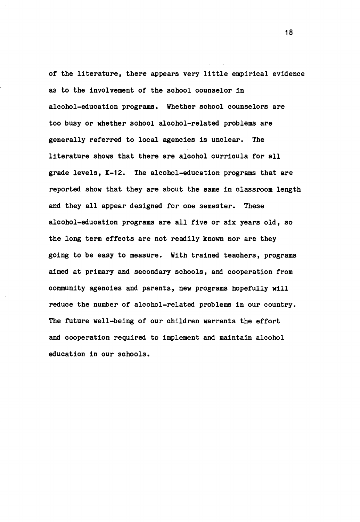of the literature, there appears very little empirical evidence as to the involvement of the school counselor in alcohol-education programs. Whether school counselors are too busy or whether school alcohol-related problems are generally referred to local agencies is unclear. The literature shows that there are alcohol curricula for all grade levels, K-12. The alcohol-education programs that are reported show that they are about the same in classroom length and they all appear designed for one semester. These alcohol-education programs are all five or six years old, so the long term effects are not readily known nor are they going to be easy to measure. With trained teachers, programs aimed at primary and secondary schools, and cooperation from community agencies and parents, new programs hopefully will reduce the number of alcohol-related problems in our country. The future well-being of our children warrants the effort and cooperation required to implement and maintain alcohol education in our schools.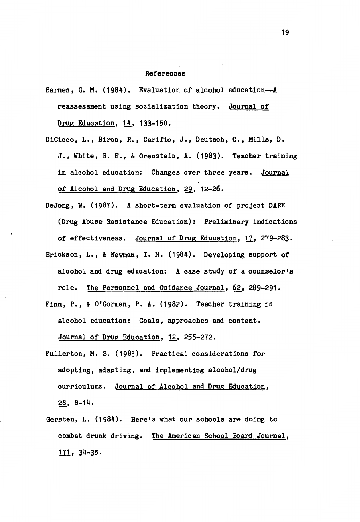#### References

- Barnes, G. M. (1984). Evaluation of alcohol education--A reassessment using socialization theory. Journal of Drug Education, 14, 133-150.
- DiCicco, L., Biron, R., Carifio, *J.,* Deutsch, C., Mills, D. *J.,* **White,** R. E., & Orenstein, **A.** (1983). Teacher training in alcohol education: Changes over three years. Journal of Alcohol and Drug Education, 29, 12-26.
- DeJong, w. (1987). A short-term evaluation of project DARE (Drug Abuse Resistance Education): Preliminary indications of effectiveness. Journal of Drug Education, 17, 279-283. Erickson, L., & Newman, I. M. (1984). Developing support of alcohol and drug education: A case study of a counselor's role. The Personnel and Guidance Journal, 62, 289-291.
- Finn, P., & O'Gorman, **P.A.** (1982). Teacher training in alcohol education: Goals, approaches and content. Journal of Drug Education, 12, 255-272.
- Fullerton, M. S. (1983). Practical considerations for adopting, adapting, and implementing alcohol/drug curriculums. Journal of Alcohol and Drug Education, 28, 8-14.
- Gersten, L. (1984). Here's what our schools are doing to combat drunk driving. The American School Board Journal,  $171, 34-35.$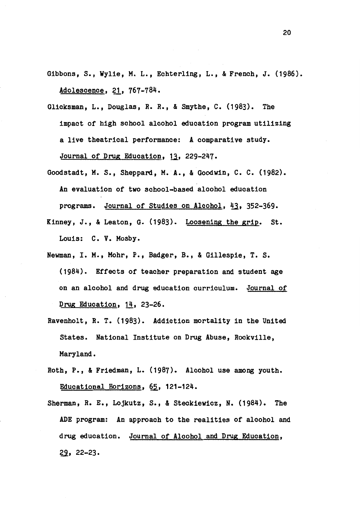- Gibbons, S., **Wylie, M.** L., Echterling, L., & French, J. (1986). Adolescence, 21, 767-784.
- Glicksman, L., Douglas, R.R., & Smythe, C. (1983). The impact of high school alcohol education program utilizing a live theatrical performance: A comparative study. Journal of Drug Education, 13, 229-247.
- Goodstadt, M. s., Sheppard, M.A., & Goodwin, c. C. (1982). An evaluation of two school-based alcohol education programs. Journal of Studies on Alcohol, 43, 352-369.
- Kinney, J., & Leaton, G. (1983). Loosening the grip. St. Louis: C. V. Mosby.
- Newman, I. M., Mohr, P., Badger, B., & Gillespie, T. S. (1984). Effects of teacher preparation and student age on an alcohol and drug education curriculum. Journal of Drug Education,  $14$ , 23-26.
- Ravenholt, R. T. (1983). Addiction mortality in the United States. National Institute on Drug Abuse, Rockville, Maryland.
- Roth, P., & Friedman, L. (1987). Alcohol use among youth. Educational Horizons, 65, 121-124.
- Sherman, R. E., Lojkutz, s., & Steokiewicz, N. (1984). The ADE program: An approach to the realities of alcohol and drug education. Journal of Alcohol and Drug Education, 29, 22-23.